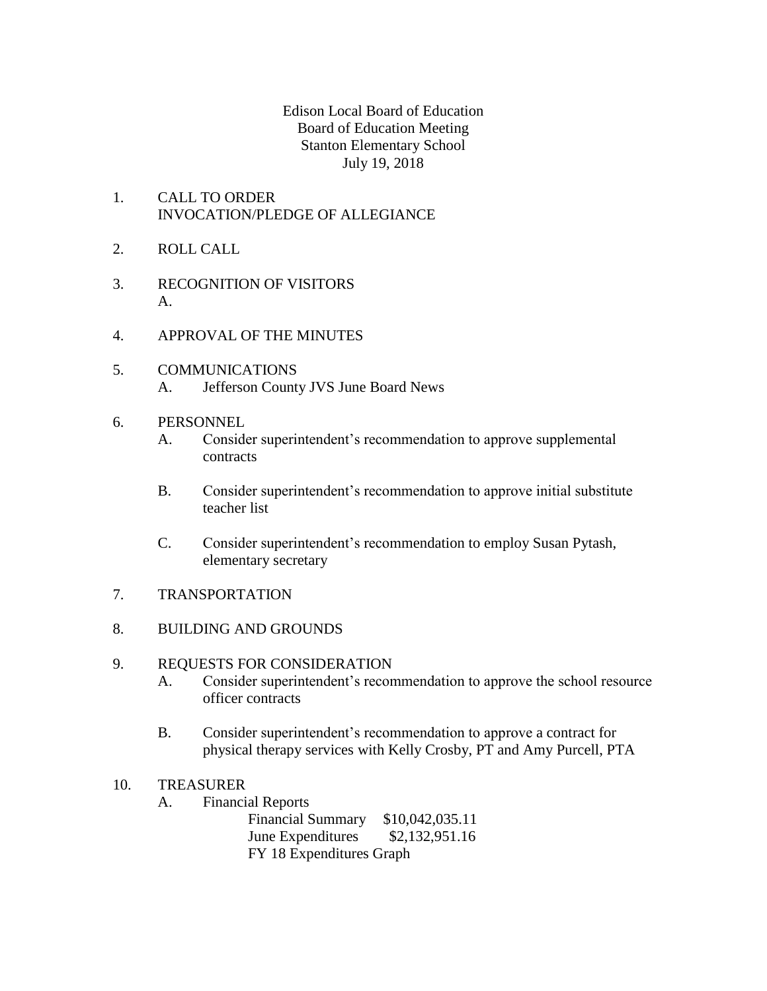Edison Local Board of Education Board of Education Meeting Stanton Elementary School July 19, 2018

- 1. CALL TO ORDER INVOCATION/PLEDGE OF ALLEGIANCE
- 2. ROLL CALL
- 3. RECOGNITION OF VISITORS A.
- 4. APPROVAL OF THE MINUTES
- 5. COMMUNICATIONS A. Jefferson County JVS June Board News
- 6. PERSONNEL
	- A. Consider superintendent's recommendation to approve supplemental contracts
	- B. Consider superintendent's recommendation to approve initial substitute teacher list
	- C. Consider superintendent's recommendation to employ Susan Pytash, elementary secretary
- 7. TRANSPORTATION
- 8. BUILDING AND GROUNDS

## 9. REQUESTS FOR CONSIDERATION

- A. Consider superintendent's recommendation to approve the school resource officer contracts
- B. Consider superintendent's recommendation to approve a contract for physical therapy services with Kelly Crosby, PT and Amy Purcell, PTA
- 10. TREASURER
	- A. Financial Reports

Financial Summary \$10,042,035.11 June Expenditures \$2,132,951.16 FY 18 Expenditures Graph